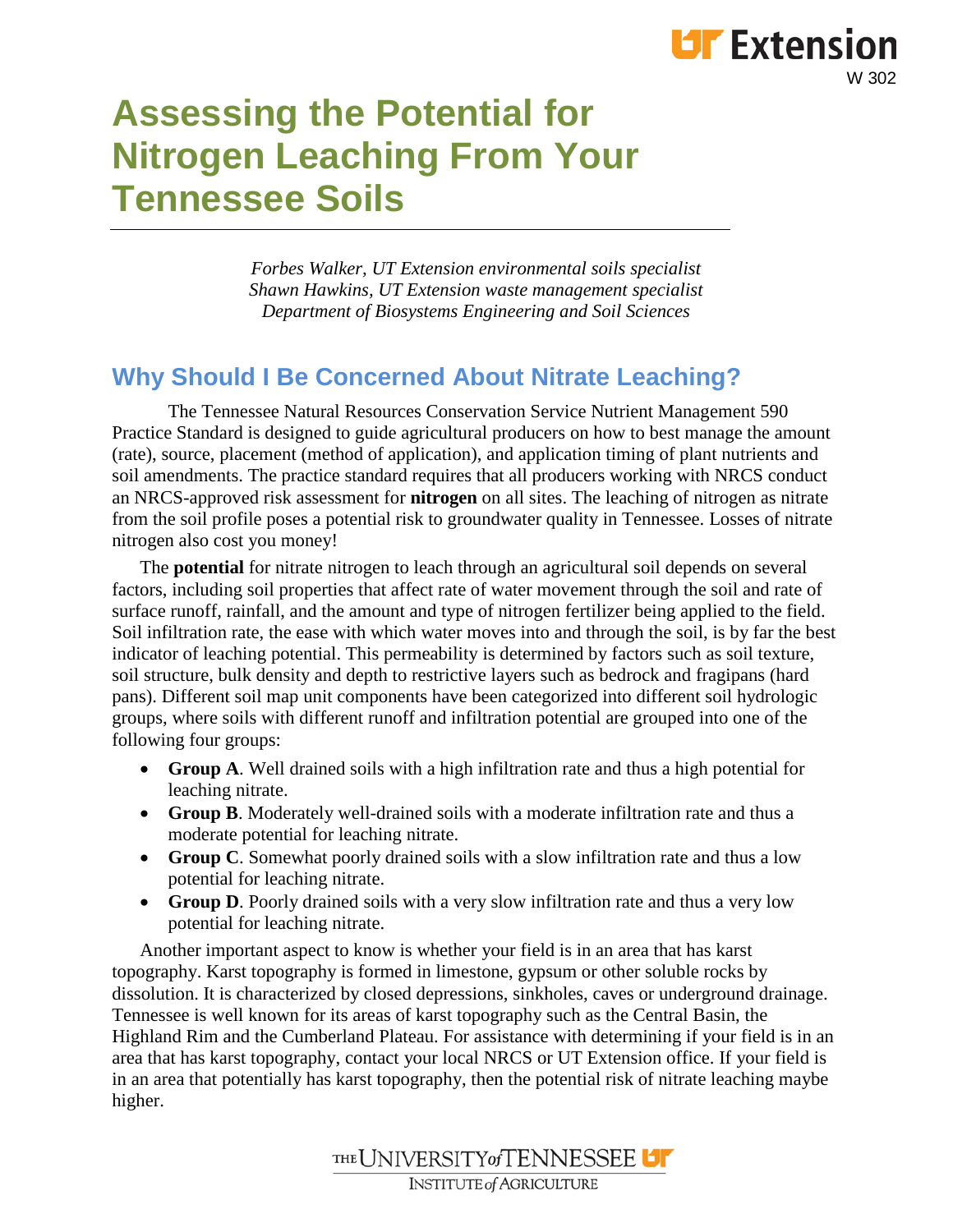### **LIF** Extension W 302

# **Assessing the Potential for Nitrogen Leaching From Your Tennessee Soils**

*Forbes Walker, UT Extension environmental soils specialist Shawn Hawkins, UT Extension waste management specialist Department of Biosystems Engineering and Soil Sciences* 

### **Why Should I Be Concerned About Nitrate Leaching?**

The Tennessee Natural Resources Conservation Service Nutrient Management 590 Practice Standard is designed to guide agricultural producers on how to best manage the amount (rate), source, placement (method of application), and application timing of plant nutrients and soil amendments. The practice standard requires that all producers working with NRCS conduct an NRCS-approved risk assessment for **nitrogen** on all sites. The leaching of nitrogen as nitrate from the soil profile poses a potential risk to groundwater quality in Tennessee. Losses of nitrate nitrogen also cost you money!

The **potential** for nitrate nitrogen to leach through an agricultural soil depends on several factors, including soil properties that affect rate of water movement through the soil and rate of surface runoff, rainfall, and the amount and type of nitrogen fertilizer being applied to the field. Soil infiltration rate, the ease with which water moves into and through the soil, is by far the best indicator of leaching potential. This permeability is determined by factors such as soil texture, soil structure, bulk density and depth to restrictive layers such as bedrock and fragipans (hard pans). Different soil map unit components have been categorized into different soil hydrologic groups, where soils with different runoff and infiltration potential are grouped into one of the following four groups:

- **Group A**. Well drained soils with a high infiltration rate and thus a high potential for leaching nitrate.
- **Group B**. Moderately well-drained soils with a moderate infiltration rate and thus a moderate potential for leaching nitrate.
- **Group C**. Somewhat poorly drained soils with a slow infiltration rate and thus a low potential for leaching nitrate.
- **Group D**. Poorly drained soils with a very slow infiltration rate and thus a very low potential for leaching nitrate.

Another important aspect to know is whether your field is in an area that has karst topography. Karst topography is formed in limestone, gypsum or other soluble rocks by dissolution. It is characterized by closed depressions, sinkholes, caves or underground drainage. Tennessee is well known for its areas of karst topography such as the Central Basin, the Highland Rim and the Cumberland Plateau. For assistance with determining if your field is in an area that has karst topography, contact your local NRCS or UT Extension office. If your field is in an area that potentially has karst topography, then the potential risk of nitrate leaching maybe higher.

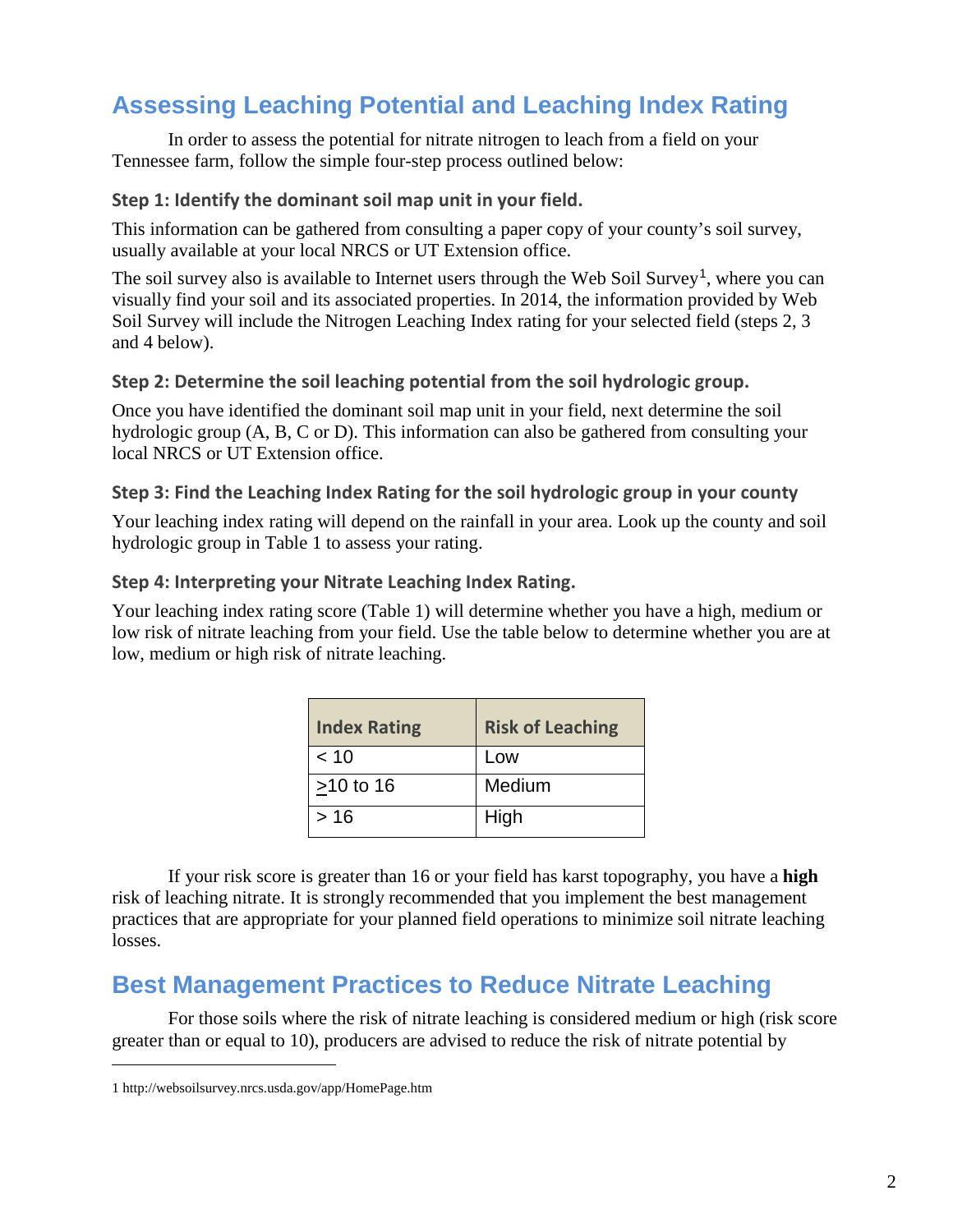### **Assessing Leaching Potential and Leaching Index Rating**

In order to assess the potential for nitrate nitrogen to leach from a field on your Tennessee farm, follow the simple four-step process outlined below:

#### **Step 1: Identify the dominant soil map unit in your field.**

This information can be gathered from consulting a paper copy of your county's soil survey, usually available at your local NRCS or UT Extension office.

The soil survey also is available to Internet users through the Web Soil Survey<sup>[1](#page-1-0)</sup>, where you can visually find your soil and its associated properties. In 2014, the information provided by Web Soil Survey will include the Nitrogen Leaching Index rating for your selected field (steps 2, 3 and 4 below).

#### **Step 2: Determine the soil leaching potential from the soil hydrologic group.**

Once you have identified the dominant soil map unit in your field, next determine the soil hydrologic group (A, B, C or D). This information can also be gathered from consulting your local NRCS or UT Extension office.

#### **Step 3: Find the Leaching Index Rating for the soil hydrologic group in your county**

Your leaching index rating will depend on the rainfall in your area. Look up the county and soil hydrologic group in Table 1 to assess your rating.

#### **Step 4: Interpreting your Nitrate Leaching Index Rating.**

Your leaching index rating score (Table 1) will determine whether you have a high, medium or low risk of nitrate leaching from your field. Use the table below to determine whether you are at low, medium or high risk of nitrate leaching.

| <b>Index Rating</b> | <b>Risk of Leaching</b> |
|---------------------|-------------------------|
| $~<$ 10             | Low                     |
| $>10$ to 16         | Medium                  |
| >16                 | High                    |

If your risk score is greater than 16 or your field has karst topography, you have a **high** risk of leaching nitrate. It is strongly recommended that you implement the best management practices that are appropriate for your planned field operations to minimize soil nitrate leaching losses.

### **Best Management Practices to Reduce Nitrate Leaching**

For those soils where the risk of nitrate leaching is considered medium or high (risk score greater than or equal to 10), producers are advised to reduce the risk of nitrate potential by

 $\overline{a}$ 

<span id="page-1-0"></span><sup>1</sup> <http://websoilsurvey.nrcs.usda.gov/app/HomePage.htm>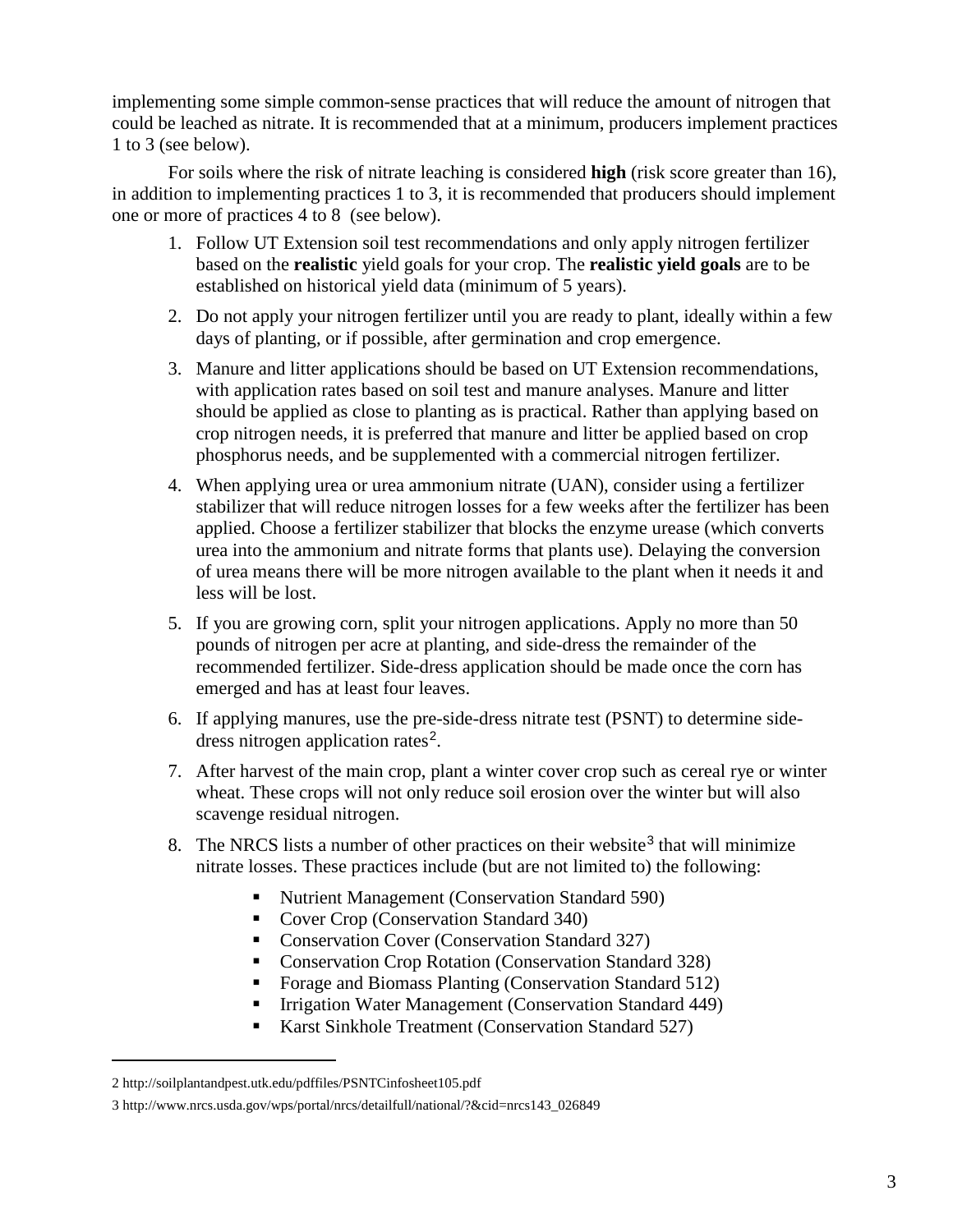implementing some simple common-sense practices that will reduce the amount of nitrogen that could be leached as nitrate. It is recommended that at a minimum, producers implement practices 1 to 3 (see below).

For soils where the risk of nitrate leaching is considered **high** (risk score greater than 16), in addition to implementing practices 1 to 3, it is recommended that producers should implement one or more of practices 4 to 8 (see below).

- 1. Follow UT Extension soil test recommendations and only apply nitrogen fertilizer based on the **realistic** yield goals for your crop. The **realistic yield goals** are to be established on historical yield data (minimum of 5 years).
- 2. Do not apply your nitrogen fertilizer until you are ready to plant, ideally within a few days of planting, or if possible, after germination and crop emergence.
- 3. Manure and litter applications should be based on UT Extension recommendations, with application rates based on soil test and manure analyses. Manure and litter should be applied as close to planting as is practical. Rather than applying based on crop nitrogen needs, it is preferred that manure and litter be applied based on crop phosphorus needs, and be supplemented with a commercial nitrogen fertilizer.
- 4. When applying urea or urea ammonium nitrate (UAN), consider using a fertilizer stabilizer that will reduce nitrogen losses for a few weeks after the fertilizer has been applied. Choose a fertilizer stabilizer that blocks the enzyme urease (which converts urea into the ammonium and nitrate forms that plants use). Delaying the conversion of urea means there will be more nitrogen available to the plant when it needs it and less will be lost.
- 5. If you are growing corn, split your nitrogen applications. Apply no more than 50 pounds of nitrogen per acre at planting, and side-dress the remainder of the recommended fertilizer. Side-dress application should be made once the corn has emerged and has at least four leaves.
- 6. If applying manures, use the pre-side-dress nitrate test (PSNT) to determine side-dress nitrogen application rates<sup>[2](#page-2-0)</sup>.
- 7. After harvest of the main crop, plant a winter cover crop such as cereal rye or winter wheat. These crops will not only reduce soil erosion over the winter but will also scavenge residual nitrogen.
- 8. The NRCS lists a number of other practices on their website<sup>[3](#page-2-1)</sup> that will minimize nitrate losses. These practices include (but are not limited to) the following:
	- Nutrient Management (Conservation Standard 590)
	- Cover Crop (Conservation Standard 340)
	- **Conservation Cover (Conservation Standard 327)**
	- **Conservation Crop Rotation (Conservation Standard 328)**
	- Forage and Biomass Planting (Conservation Standard 512)
	- **Irrigation Water Management (Conservation Standard 449)**
	- Karst Sinkhole Treatment (Conservation Standard 527)

 $\overline{a}$ 

<span id="page-2-0"></span><sup>2</sup> <http://soilplantandpest.utk.edu/pdffiles/PSNTCinfosheet105.pdf>

<span id="page-2-1"></span><sup>3</sup> [http://www.nrcs.usda.gov/wps/portal/nrcs/detailfull/national/?&cid=nrcs143\\_026849](http://www.nrcs.usda.gov/wps/portal/nrcs/detailfull/national/?&cid=nrcs143_026849)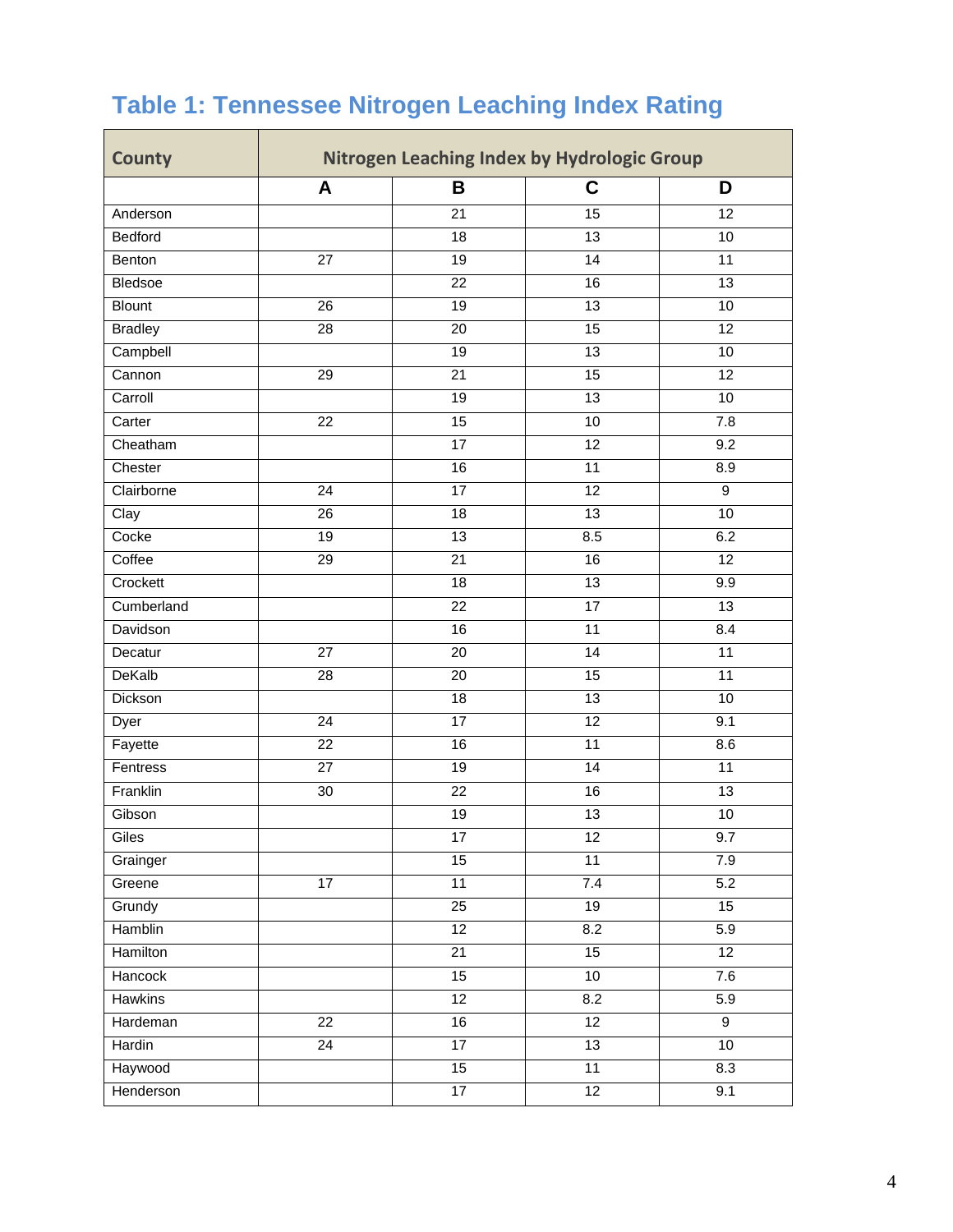| <b>County</b>  | Nitrogen Leaching Index by Hydrologic Group |                 |                 |                  |
|----------------|---------------------------------------------|-----------------|-----------------|------------------|
|                | A                                           | B               | C               | D                |
| Anderson       |                                             | 21              | 15              | 12               |
| Bedford        |                                             | 18              | 13              | 10               |
| Benton         | $\overline{27}$                             | $\overline{19}$ | $\overline{14}$ | 11               |
| Bledsoe        |                                             | 22              | 16              | $\overline{13}$  |
| <b>Blount</b>  | $\overline{26}$                             | $\overline{19}$ | $\overline{13}$ | $\overline{10}$  |
| <b>Bradley</b> | $\overline{28}$                             | 20              | $\overline{15}$ | $\overline{12}$  |
| Campbell       |                                             | 19              | $\overline{13}$ | 10               |
| Cannon         | 29                                          | 21              | $\overline{15}$ | 12               |
| Carroll        |                                             | 19              | $\overline{13}$ | $\overline{10}$  |
| Carter         | 22                                          | $\overline{15}$ | 10              | 7.8              |
| Cheatham       |                                             | 17              | $\overline{12}$ | 9.2              |
| Chester        |                                             | 16              | $\overline{11}$ | 8.9              |
| Clairborne     | 24                                          | 17              | 12              | 9                |
| Clay           | $\overline{26}$                             | $\overline{18}$ | 13              | $\overline{10}$  |
| Cocke          | 19                                          | 13              | 8.5             | 6.2              |
| Coffee         | $\overline{29}$                             | $\overline{21}$ | 16              | 12               |
| Crockett       |                                             | 18              | 13              | 9.9              |
| Cumberland     |                                             | 22              | $\overline{17}$ | $\overline{13}$  |
| Davidson       |                                             | 16              | 11              | 8.4              |
| Decatur        | $\overline{27}$                             | 20              | $\overline{14}$ | $\overline{11}$  |
| DeKalb         | 28                                          | 20              | 15              | 11               |
| Dickson        |                                             | $\overline{18}$ | $\overline{13}$ | 10               |
| Dyer           | 24                                          | 17              | 12              | 9.1              |
| Fayette        | $\overline{22}$                             | 16              | $\overline{11}$ | 8.6              |
| Fentress       | $\overline{27}$                             | 19              | $\overline{14}$ | $\overline{11}$  |
| Franklin       | 30                                          | 22              | 16              | $\overline{13}$  |
| Gibson         |                                             | 19              | $\overline{13}$ | 10               |
| Giles          |                                             | 17              | 12              | 9.7              |
| Grainger       |                                             | 15              | 11              | 7.9              |
| Greene         | $\overline{17}$                             | $\overline{11}$ | 7.4             | 5.2              |
| Grundy         |                                             | $\overline{25}$ | 19              | 15               |
| Hamblin        |                                             | 12              | 8.2             | $\overline{5.9}$ |
| Hamilton       |                                             | $\overline{21}$ | 15              | $\overline{12}$  |
| Hancock        |                                             | 15              | 10              | 7.6              |
| <b>Hawkins</b> |                                             | 12              | 8.2             | 5.9              |
| Hardeman       | 22                                          | 16              | 12              | $9\,$            |
| Hardin         | $\overline{24}$                             | $\overline{17}$ | 13              | $\overline{10}$  |
| Haywood        |                                             | 15              | 11              | 8.3              |
| Henderson      |                                             | $\overline{17}$ | 12              | 9.1              |

## **Table 1: Tennessee Nitrogen Leaching Index Rating**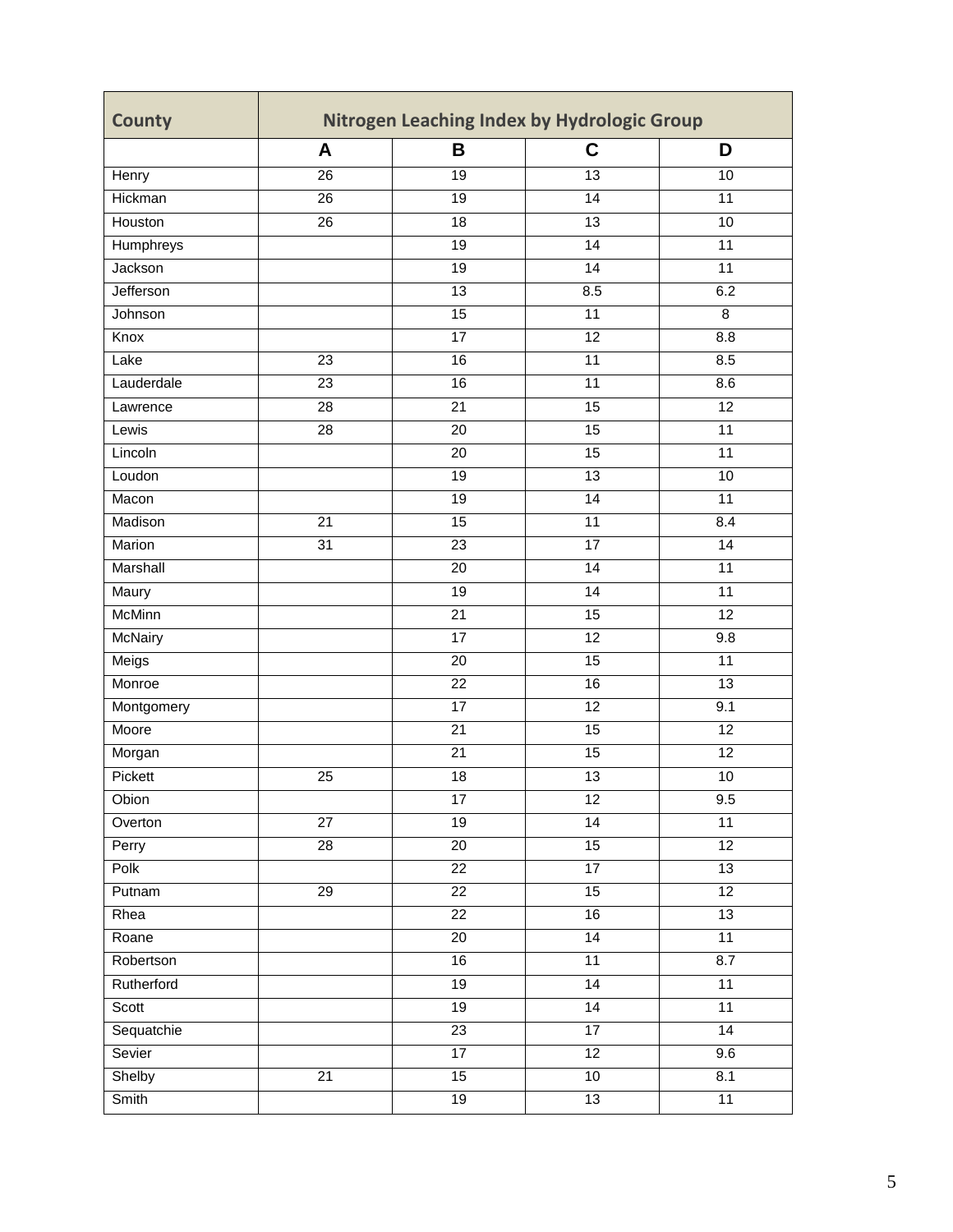| C<br>B<br>D<br>A<br>$\overline{13}$<br>Henry<br>26<br>19<br>10<br>Hickman<br>14<br>11<br>26<br>19<br>Houston<br>26<br>18<br>13<br>10<br>$\overline{11}$<br>Humphreys<br>19<br>14<br>Jackson<br>$\overline{19}$<br>$\overline{14}$<br>$\overline{11}$<br>Jefferson<br>13<br>8.5<br>6.2<br>Johnson<br>$\overline{15}$<br>$\overline{11}$<br>8<br>8.8<br>Knox<br>17<br>12<br>$\overline{23}$<br>16<br>$\overline{11}$<br>8.5<br>Lake<br>23<br>16<br>11<br>8.6<br>Lauderdale<br>15<br>12<br>28<br>21<br>Lawrence<br>20<br>15<br>11<br>Lewis<br>28<br>Lincoln<br>$\overline{15}$<br>$\overline{11}$<br>20<br>$\overline{13}$<br>$\overline{10}$<br>Loudon<br>19<br>$\overline{19}$<br>$\overline{14}$<br>$\overline{11}$<br>Macon<br>Madison<br>15<br>$\overline{11}$<br>8.4<br>21<br>Marion<br>31<br>23<br>17<br>14<br>Marshall<br>$\overline{20}$<br>$\overline{14}$<br>$\overline{11}$<br>$\overline{19}$<br>$\overline{11}$<br>Maury<br>14<br><b>McMinn</b><br>15<br>$\overline{12}$<br>$\overline{21}$<br><b>McNairy</b><br>17<br>12<br>9.8<br>Meigs<br>$\overline{15}$<br>$\overline{11}$<br>20<br>Monroe<br>22<br>16<br>13<br>12<br>Montgomery<br>$\overline{17}$<br>9.1<br>Moore<br>$\overline{21}$<br>$\overline{15}$<br>$\overline{12}$<br>15<br>12<br>21<br>Morgan<br>Pickett<br>25<br>18<br>13<br>10<br>$\overline{12}$<br>17<br>9.5<br>Obion<br>$\overline{27}$<br>$\overline{14}$<br>19<br>11<br>Overton<br>12<br>$\overline{28}$<br>$\overline{20}$<br>15<br>Perry<br>Polk<br>17<br>13<br>22<br>$\overline{29}$<br>$\overline{15}$<br>$\overline{12}$<br>Putnam<br>22<br>Rhea<br>16<br>13<br>22<br>11<br>$\overline{20}$<br>$\overline{14}$<br>Roane | <b>County</b> | Nitrogen Leaching Index by Hydrologic Group |  |  |  |  |
|----------------------------------------------------------------------------------------------------------------------------------------------------------------------------------------------------------------------------------------------------------------------------------------------------------------------------------------------------------------------------------------------------------------------------------------------------------------------------------------------------------------------------------------------------------------------------------------------------------------------------------------------------------------------------------------------------------------------------------------------------------------------------------------------------------------------------------------------------------------------------------------------------------------------------------------------------------------------------------------------------------------------------------------------------------------------------------------------------------------------------------------------------------------------------------------------------------------------------------------------------------------------------------------------------------------------------------------------------------------------------------------------------------------------------------------------------------------------------------------------------------------------------------------------------------------------------------------------------------------------------------------------------------------|---------------|---------------------------------------------|--|--|--|--|
|                                                                                                                                                                                                                                                                                                                                                                                                                                                                                                                                                                                                                                                                                                                                                                                                                                                                                                                                                                                                                                                                                                                                                                                                                                                                                                                                                                                                                                                                                                                                                                                                                                                                |               |                                             |  |  |  |  |
|                                                                                                                                                                                                                                                                                                                                                                                                                                                                                                                                                                                                                                                                                                                                                                                                                                                                                                                                                                                                                                                                                                                                                                                                                                                                                                                                                                                                                                                                                                                                                                                                                                                                |               |                                             |  |  |  |  |
|                                                                                                                                                                                                                                                                                                                                                                                                                                                                                                                                                                                                                                                                                                                                                                                                                                                                                                                                                                                                                                                                                                                                                                                                                                                                                                                                                                                                                                                                                                                                                                                                                                                                |               |                                             |  |  |  |  |
|                                                                                                                                                                                                                                                                                                                                                                                                                                                                                                                                                                                                                                                                                                                                                                                                                                                                                                                                                                                                                                                                                                                                                                                                                                                                                                                                                                                                                                                                                                                                                                                                                                                                |               |                                             |  |  |  |  |
|                                                                                                                                                                                                                                                                                                                                                                                                                                                                                                                                                                                                                                                                                                                                                                                                                                                                                                                                                                                                                                                                                                                                                                                                                                                                                                                                                                                                                                                                                                                                                                                                                                                                |               |                                             |  |  |  |  |
|                                                                                                                                                                                                                                                                                                                                                                                                                                                                                                                                                                                                                                                                                                                                                                                                                                                                                                                                                                                                                                                                                                                                                                                                                                                                                                                                                                                                                                                                                                                                                                                                                                                                |               |                                             |  |  |  |  |
|                                                                                                                                                                                                                                                                                                                                                                                                                                                                                                                                                                                                                                                                                                                                                                                                                                                                                                                                                                                                                                                                                                                                                                                                                                                                                                                                                                                                                                                                                                                                                                                                                                                                |               |                                             |  |  |  |  |
|                                                                                                                                                                                                                                                                                                                                                                                                                                                                                                                                                                                                                                                                                                                                                                                                                                                                                                                                                                                                                                                                                                                                                                                                                                                                                                                                                                                                                                                                                                                                                                                                                                                                |               |                                             |  |  |  |  |
|                                                                                                                                                                                                                                                                                                                                                                                                                                                                                                                                                                                                                                                                                                                                                                                                                                                                                                                                                                                                                                                                                                                                                                                                                                                                                                                                                                                                                                                                                                                                                                                                                                                                |               |                                             |  |  |  |  |
|                                                                                                                                                                                                                                                                                                                                                                                                                                                                                                                                                                                                                                                                                                                                                                                                                                                                                                                                                                                                                                                                                                                                                                                                                                                                                                                                                                                                                                                                                                                                                                                                                                                                |               |                                             |  |  |  |  |
|                                                                                                                                                                                                                                                                                                                                                                                                                                                                                                                                                                                                                                                                                                                                                                                                                                                                                                                                                                                                                                                                                                                                                                                                                                                                                                                                                                                                                                                                                                                                                                                                                                                                |               |                                             |  |  |  |  |
|                                                                                                                                                                                                                                                                                                                                                                                                                                                                                                                                                                                                                                                                                                                                                                                                                                                                                                                                                                                                                                                                                                                                                                                                                                                                                                                                                                                                                                                                                                                                                                                                                                                                |               |                                             |  |  |  |  |
|                                                                                                                                                                                                                                                                                                                                                                                                                                                                                                                                                                                                                                                                                                                                                                                                                                                                                                                                                                                                                                                                                                                                                                                                                                                                                                                                                                                                                                                                                                                                                                                                                                                                |               |                                             |  |  |  |  |
|                                                                                                                                                                                                                                                                                                                                                                                                                                                                                                                                                                                                                                                                                                                                                                                                                                                                                                                                                                                                                                                                                                                                                                                                                                                                                                                                                                                                                                                                                                                                                                                                                                                                |               |                                             |  |  |  |  |
|                                                                                                                                                                                                                                                                                                                                                                                                                                                                                                                                                                                                                                                                                                                                                                                                                                                                                                                                                                                                                                                                                                                                                                                                                                                                                                                                                                                                                                                                                                                                                                                                                                                                |               |                                             |  |  |  |  |
|                                                                                                                                                                                                                                                                                                                                                                                                                                                                                                                                                                                                                                                                                                                                                                                                                                                                                                                                                                                                                                                                                                                                                                                                                                                                                                                                                                                                                                                                                                                                                                                                                                                                |               |                                             |  |  |  |  |
|                                                                                                                                                                                                                                                                                                                                                                                                                                                                                                                                                                                                                                                                                                                                                                                                                                                                                                                                                                                                                                                                                                                                                                                                                                                                                                                                                                                                                                                                                                                                                                                                                                                                |               |                                             |  |  |  |  |
|                                                                                                                                                                                                                                                                                                                                                                                                                                                                                                                                                                                                                                                                                                                                                                                                                                                                                                                                                                                                                                                                                                                                                                                                                                                                                                                                                                                                                                                                                                                                                                                                                                                                |               |                                             |  |  |  |  |
|                                                                                                                                                                                                                                                                                                                                                                                                                                                                                                                                                                                                                                                                                                                                                                                                                                                                                                                                                                                                                                                                                                                                                                                                                                                                                                                                                                                                                                                                                                                                                                                                                                                                |               |                                             |  |  |  |  |
|                                                                                                                                                                                                                                                                                                                                                                                                                                                                                                                                                                                                                                                                                                                                                                                                                                                                                                                                                                                                                                                                                                                                                                                                                                                                                                                                                                                                                                                                                                                                                                                                                                                                |               |                                             |  |  |  |  |
|                                                                                                                                                                                                                                                                                                                                                                                                                                                                                                                                                                                                                                                                                                                                                                                                                                                                                                                                                                                                                                                                                                                                                                                                                                                                                                                                                                                                                                                                                                                                                                                                                                                                |               |                                             |  |  |  |  |
|                                                                                                                                                                                                                                                                                                                                                                                                                                                                                                                                                                                                                                                                                                                                                                                                                                                                                                                                                                                                                                                                                                                                                                                                                                                                                                                                                                                                                                                                                                                                                                                                                                                                |               |                                             |  |  |  |  |
|                                                                                                                                                                                                                                                                                                                                                                                                                                                                                                                                                                                                                                                                                                                                                                                                                                                                                                                                                                                                                                                                                                                                                                                                                                                                                                                                                                                                                                                                                                                                                                                                                                                                |               |                                             |  |  |  |  |
|                                                                                                                                                                                                                                                                                                                                                                                                                                                                                                                                                                                                                                                                                                                                                                                                                                                                                                                                                                                                                                                                                                                                                                                                                                                                                                                                                                                                                                                                                                                                                                                                                                                                |               |                                             |  |  |  |  |
|                                                                                                                                                                                                                                                                                                                                                                                                                                                                                                                                                                                                                                                                                                                                                                                                                                                                                                                                                                                                                                                                                                                                                                                                                                                                                                                                                                                                                                                                                                                                                                                                                                                                |               |                                             |  |  |  |  |
|                                                                                                                                                                                                                                                                                                                                                                                                                                                                                                                                                                                                                                                                                                                                                                                                                                                                                                                                                                                                                                                                                                                                                                                                                                                                                                                                                                                                                                                                                                                                                                                                                                                                |               |                                             |  |  |  |  |
|                                                                                                                                                                                                                                                                                                                                                                                                                                                                                                                                                                                                                                                                                                                                                                                                                                                                                                                                                                                                                                                                                                                                                                                                                                                                                                                                                                                                                                                                                                                                                                                                                                                                |               |                                             |  |  |  |  |
|                                                                                                                                                                                                                                                                                                                                                                                                                                                                                                                                                                                                                                                                                                                                                                                                                                                                                                                                                                                                                                                                                                                                                                                                                                                                                                                                                                                                                                                                                                                                                                                                                                                                |               |                                             |  |  |  |  |
|                                                                                                                                                                                                                                                                                                                                                                                                                                                                                                                                                                                                                                                                                                                                                                                                                                                                                                                                                                                                                                                                                                                                                                                                                                                                                                                                                                                                                                                                                                                                                                                                                                                                |               |                                             |  |  |  |  |
|                                                                                                                                                                                                                                                                                                                                                                                                                                                                                                                                                                                                                                                                                                                                                                                                                                                                                                                                                                                                                                                                                                                                                                                                                                                                                                                                                                                                                                                                                                                                                                                                                                                                |               |                                             |  |  |  |  |
|                                                                                                                                                                                                                                                                                                                                                                                                                                                                                                                                                                                                                                                                                                                                                                                                                                                                                                                                                                                                                                                                                                                                                                                                                                                                                                                                                                                                                                                                                                                                                                                                                                                                |               |                                             |  |  |  |  |
|                                                                                                                                                                                                                                                                                                                                                                                                                                                                                                                                                                                                                                                                                                                                                                                                                                                                                                                                                                                                                                                                                                                                                                                                                                                                                                                                                                                                                                                                                                                                                                                                                                                                |               |                                             |  |  |  |  |
|                                                                                                                                                                                                                                                                                                                                                                                                                                                                                                                                                                                                                                                                                                                                                                                                                                                                                                                                                                                                                                                                                                                                                                                                                                                                                                                                                                                                                                                                                                                                                                                                                                                                |               |                                             |  |  |  |  |
|                                                                                                                                                                                                                                                                                                                                                                                                                                                                                                                                                                                                                                                                                                                                                                                                                                                                                                                                                                                                                                                                                                                                                                                                                                                                                                                                                                                                                                                                                                                                                                                                                                                                |               |                                             |  |  |  |  |
|                                                                                                                                                                                                                                                                                                                                                                                                                                                                                                                                                                                                                                                                                                                                                                                                                                                                                                                                                                                                                                                                                                                                                                                                                                                                                                                                                                                                                                                                                                                                                                                                                                                                |               |                                             |  |  |  |  |
| 11<br>8.7<br>Robertson<br>16                                                                                                                                                                                                                                                                                                                                                                                                                                                                                                                                                                                                                                                                                                                                                                                                                                                                                                                                                                                                                                                                                                                                                                                                                                                                                                                                                                                                                                                                                                                                                                                                                                   |               |                                             |  |  |  |  |
| Rutherford<br>19<br>$\overline{14}$<br>$\overline{11}$                                                                                                                                                                                                                                                                                                                                                                                                                                                                                                                                                                                                                                                                                                                                                                                                                                                                                                                                                                                                                                                                                                                                                                                                                                                                                                                                                                                                                                                                                                                                                                                                         |               |                                             |  |  |  |  |
| Scott<br>19<br>$\overline{14}$<br>$\overline{11}$                                                                                                                                                                                                                                                                                                                                                                                                                                                                                                                                                                                                                                                                                                                                                                                                                                                                                                                                                                                                                                                                                                                                                                                                                                                                                                                                                                                                                                                                                                                                                                                                              |               |                                             |  |  |  |  |
| Sequatchie<br>$\overline{23}$<br>$\overline{17}$<br>$\overline{14}$                                                                                                                                                                                                                                                                                                                                                                                                                                                                                                                                                                                                                                                                                                                                                                                                                                                                                                                                                                                                                                                                                                                                                                                                                                                                                                                                                                                                                                                                                                                                                                                            |               |                                             |  |  |  |  |
| 17<br>12<br>Sevier<br>9.6                                                                                                                                                                                                                                                                                                                                                                                                                                                                                                                                                                                                                                                                                                                                                                                                                                                                                                                                                                                                                                                                                                                                                                                                                                                                                                                                                                                                                                                                                                                                                                                                                                      |               |                                             |  |  |  |  |
| Shelby<br>$\overline{21}$<br>15<br>10<br>8.1                                                                                                                                                                                                                                                                                                                                                                                                                                                                                                                                                                                                                                                                                                                                                                                                                                                                                                                                                                                                                                                                                                                                                                                                                                                                                                                                                                                                                                                                                                                                                                                                                   |               |                                             |  |  |  |  |
| Smith<br>19<br>$\overline{13}$<br>$\overline{11}$                                                                                                                                                                                                                                                                                                                                                                                                                                                                                                                                                                                                                                                                                                                                                                                                                                                                                                                                                                                                                                                                                                                                                                                                                                                                                                                                                                                                                                                                                                                                                                                                              |               |                                             |  |  |  |  |